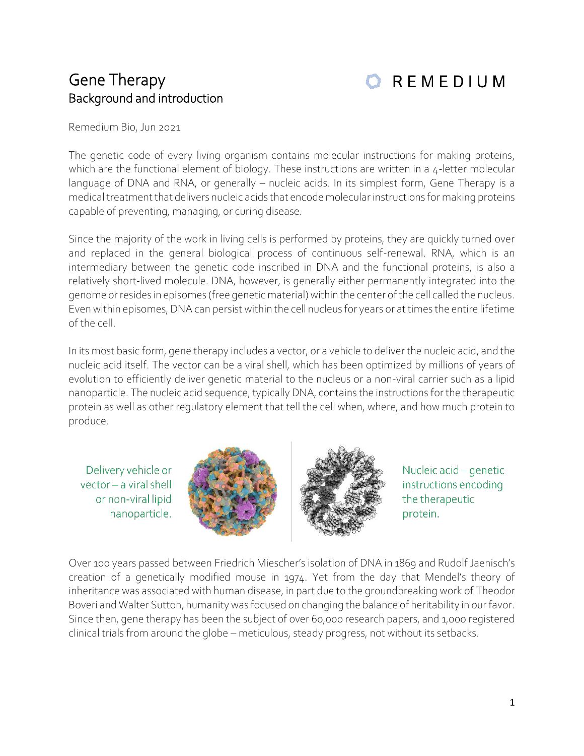## Gene Therapy Background and introduction

**OREMEDIUM** 

Remedium Bio, Jun 2021

The genetic code of every living organism contains molecular instructions for making proteins, which are the functional element of biology. These instructions are written in a 4-letter molecular language of DNA and RNA, or generally – nucleic acids. In its simplest form, Gene Therapy is a medical treatment that delivers nucleic acids that encode molecular instructions for making proteins capable of preventing, managing, or curing disease.

Since the majority of the work in living cells is performed by proteins, they are quickly turned over and replaced in the general biological process of continuous self-renewal. RNA, which is an intermediary between the genetic code inscribed in DNA and the functional proteins, is also a relatively short-lived molecule. DNA, however, is generally either permanently integrated into the genome or resides in episomes (free genetic material) within the center of the cell called the nucleus. Even within episomes, DNA can persist within the cell nucleus for years or at times the entire lifetime of the cell.

In its most basic form, gene therapy includes a vector, or a vehicle to deliver the nucleic acid, and the nucleic acid itself. The vector can be a viral shell, which has been optimized by millions of years of evolution to efficiently deliver genetic material to the nucleus or a non-viral carrier such as a lipid nanoparticle. The nucleic acid sequence, typically DNA, contains the instructions for the therapeutic protein as well as other regulatory element that tell the cell when, where, and how much protein to produce.

Delivery vehicle or vector - a viral shell or non-viral lipid nanoparticle.



Nucleic acid - genetic instructions encoding the therapeutic protein.

Over 100 years passed between Friedrich Miescher's isolation of DNA in 1869 and Rudolf Jaenisch's creation of a genetically modified mouse in 1974. Yet from the day that Mendel's theory of inheritance was associated with human disease, in part due to the groundbreaking work of Theodor Boveri and Walter Sutton, humanity was focused on changing the balance of heritability in our favor. Since then, gene therapy has been the subject of over 60,000 research papers, and 1,000 registered clinical trials from around the globe – meticulous, steady progress, not without its setbacks.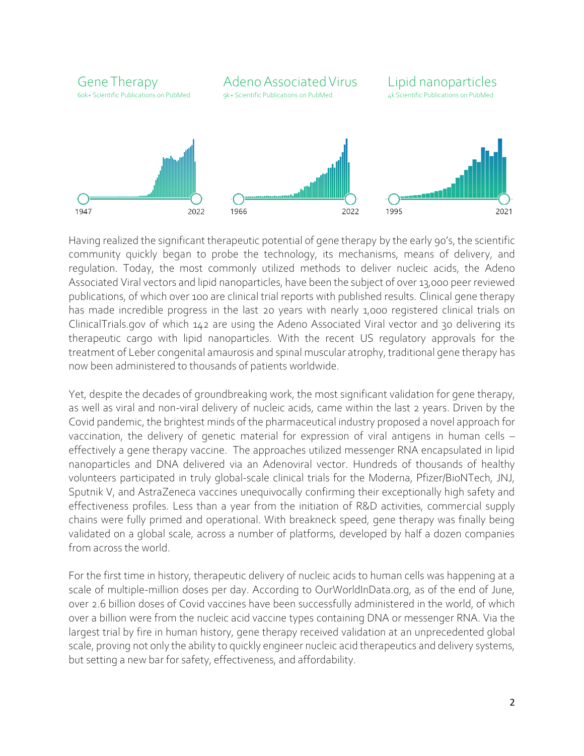

Having realized the significant therapeutic potential of gene therapy by the early 90's, the scientific community quickly began to probe the technology, its mechanisms, means of delivery, and regulation. Today, the most commonly utilized methods to deliver nucleic acids, the Adeno Associated Viral vectors and lipid nanoparticles, have been the subject of over 13,000 peer reviewed publications, of which over 100 are clinical trial reports with published results. Clinical gene therapy has made incredible progress in the last 20 years with nearly 1,000 registered clinical trials on ClinicalTrials.gov of which 142 are using the Adeno Associated Viral vector and 30 delivering its therapeutic cargo with lipid nanoparticles. With the recent US regulatory approvals for the treatment of Leber congenital amaurosis and spinal muscular atrophy, traditional gene therapy has now been administered to thousands of patients worldwide.

Yet, despite the decades of groundbreaking work, the most significant validation for gene therapy, as well as viral and non-viral delivery of nucleic acids, came within the last 2 years. Driven by the Covid pandemic, the brightest minds of the pharmaceutical industry proposed a novel approach for vaccination, the delivery of genetic material for expression of viral antigens in human cells – effectively a gene therapy vaccine. The approaches utilized messenger RNA encapsulated in lipid nanoparticles and DNA delivered via an Adenoviral vector. Hundreds of thousands of healthy volunteers participated in truly global-scale clinical trials for the Moderna, Pfizer/BioNTech, JNJ, Sputnik V, and AstraZeneca vaccines unequivocally confirming their exceptionally high safety and effectiveness profiles. Less than a year from the initiation of R&D activities, commercial supply chains were fully primed and operational. With breakneck speed, gene therapy was finally being validated on a global scale, across a number of platforms, developed by half a dozen companies from across the world.

For the first time in history, therapeutic delivery of nucleic acids to human cells was happening at a scale of multiple-million doses per day. According to OurWorldInData.org, as of the end of June, over 2.6 billion doses of Covid vaccines have been successfully administered in the world, of which over a billion were from the nucleic acid vaccine types containing DNA or messenger RNA. Via the largest trial by fire in human history, gene therapy received validation at an unprecedented global scale, proving not only the ability to quickly engineer nucleic acid therapeutics and delivery systems, but setting a new bar for safety, effectiveness, and affordability.